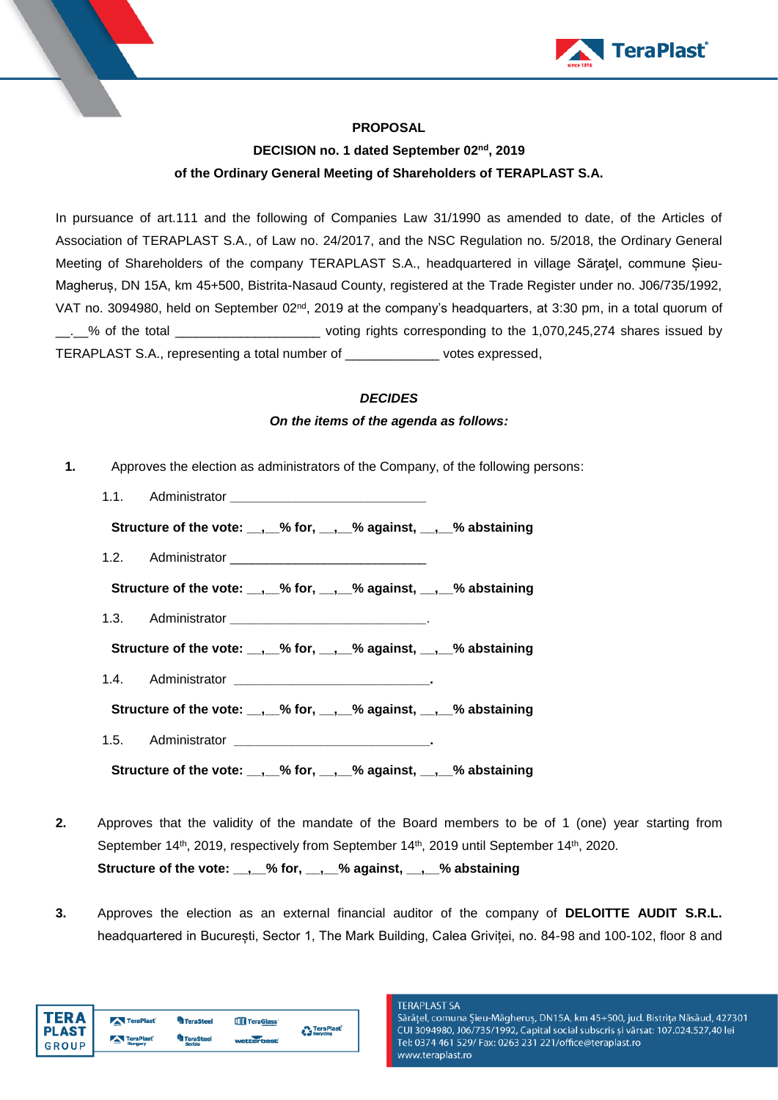

## **PROPOSAL**

# **DECISION no. 1 dated September 02nd, 2019 of the Ordinary General Meeting of Shareholders of TERAPLAST S.A.**

In pursuance of art.111 and the following of Companies Law 31/1990 as amended to date, of the Articles of Association of TERAPLAST S.A., of Law no. 24/2017, and the NSC Regulation no. 5/2018, the Ordinary General Meeting of Shareholders of the company TERAPLAST S.A., headquartered in village Săratel, commune Sieu-Magheruș, DN 15A, km 45+500, Bistrita-Nasaud County, registered at the Trade Register under no. J06/735/1992, VAT no. 3094980, held on September 02<sup>nd</sup>, 2019 at the company's headquarters, at 3:30 pm, in a total quorum of \_\_.\_\_% of the total \_\_\_\_\_\_\_\_\_\_\_\_\_\_\_\_\_\_\_\_ voting rights corresponding to the 1,070,245,274 shares issued by TERAPLAST S.A., representing a total number of \_\_\_\_\_\_\_\_\_\_\_\_\_ votes expressed,

### *DECIDES*

### *On the items of the agenda as follows:*

- **1.** Approves the election as administrators of the Company, of the following persons:
	- 1.1. Administrator **\_\_\_\_\_\_\_\_\_\_\_\_\_\_\_\_\_\_\_\_\_\_\_\_\_\_\_ Structure of the vote: \_\_,\_\_% for, \_\_,\_\_% against, \_\_,\_\_% abstaining** 1.2. Administrator **Structure of the vote: \_\_,\_\_% for, \_\_,\_\_% against, \_\_,\_\_% abstaining** 1.3. Administrator **\_\_\_\_\_\_\_\_\_\_\_\_\_\_\_\_\_\_\_\_\_\_\_\_\_\_\_**. **Structure of the vote: \_\_,\_\_% for, \_\_,\_\_% against, \_\_,\_\_% abstaining** 1.4. Administrator **\_\_\_\_\_\_\_\_\_\_\_\_\_\_\_\_\_\_\_\_\_\_\_\_\_\_\_. Structure of the vote: \_\_,\_\_% for, \_\_,\_\_% against, \_\_,\_\_% abstaining** 1.5. Administrator **\_\_\_\_\_\_\_\_\_\_\_\_\_\_\_\_\_\_\_\_\_\_\_\_\_\_\_. Structure of the vote: \_\_,\_\_% for, \_\_,\_\_% against, \_\_,\_\_% abstaining**
- **2.** Approves that the validity of the mandate of the Board members to be of 1 (one) year starting from September 14<sup>th</sup>, 2019, respectively from September 14<sup>th</sup>, 2019 until September 14<sup>th</sup>, 2020. **Structure of the vote: \_\_,\_\_% for, \_\_,\_\_% against, \_\_,\_\_% abstaining**
- **3.** Approves the election as an external financial auditor of the company of **DELOITTE AUDIT S.R.L.** headquartered in București, Sector 1, The Mark Building, Calea Griviței, no. 84-98 and 100-102, floor 8 and

| TFR Δ                   | TeraPlast | <b>TeraSteel</b>           | TeraGlass' | <b>D</b> TeraPlast |
|-------------------------|-----------|----------------------------|------------|--------------------|
| l PLAST<br><b>GROUP</b> | TeraPlast | <b>TeraSteel</b><br>Serbia | webberbest | <b>Recycling</b>   |
|                         |           |                            |            |                    |

#### **TERAPLAST SA**

Sărățel, comuna Șieu-Măgheruș, DN15A, km 45+500, jud. Bistrița Năsăud, 427301 CUI 3094980, J06/735/1992, Capital social subscris și vărsat: 107.024.527,40 lei Tel: 0374 461 529/ Fax: 0263 231 221/office@teraplast.ro www.teraplast.ro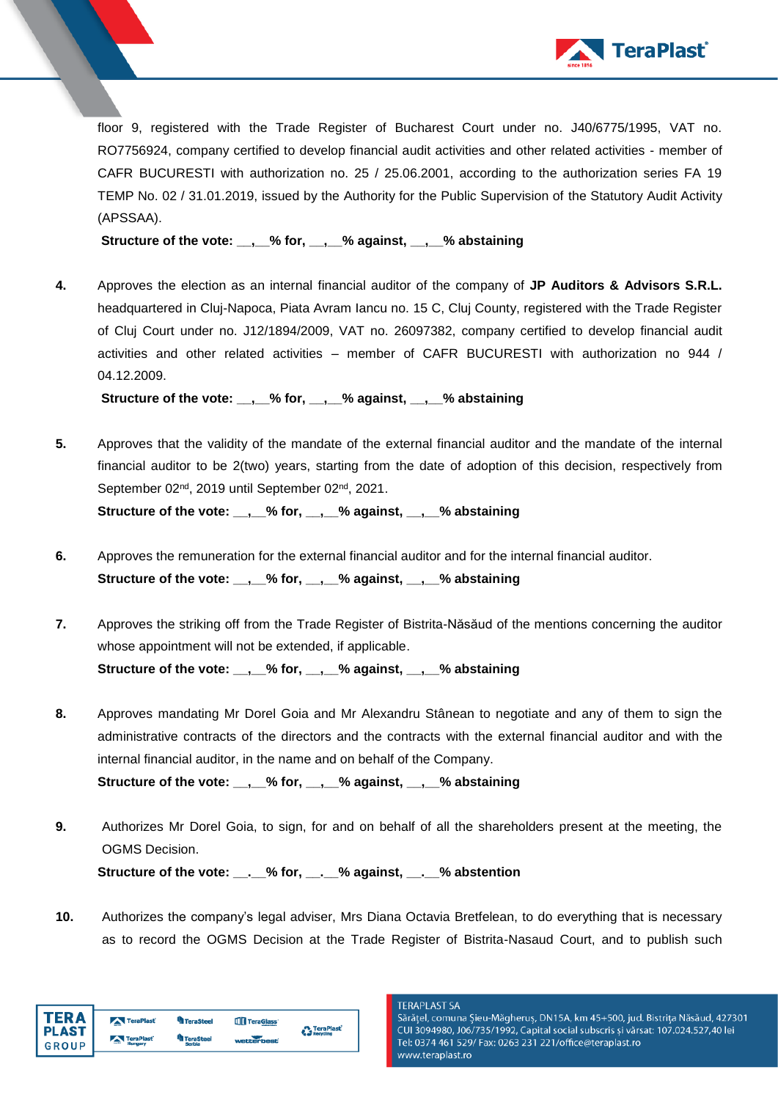

floor 9, registered with the Trade Register of Bucharest Court under no. J40/6775/1995, VAT no. RO7756924, company certified to develop financial audit activities and other related activities - member of CAFR BUCURESTI with authorization no. 25 / 25.06.2001, according to the authorization series FA 19 TEMP No. 02 / 31.01.2019, issued by the Authority for the Public Supervision of the Statutory Audit Activity (APSSAA).

**Structure of the vote: \_\_,\_\_% for, \_\_,\_\_% against, \_\_,\_\_% abstaining**

**4.** Approves the election as an internal financial auditor of the company of **JP Auditors & Advisors S.R.L.** headquartered in Cluj-Napoca, Piata Avram Iancu no. 15 C, Cluj County, registered with the Trade Register of Cluj Court under no. J12/1894/2009, VAT no. 26097382, company certified to develop financial audit activities and other related activities – member of CAFR BUCURESTI with authorization no 944 / 04.12.2009.

**Structure of the vote: \_\_,\_\_% for, \_\_,\_\_% against, \_\_,\_\_% abstaining**

- **5.** Approves that the validity of the mandate of the external financial auditor and the mandate of the internal financial auditor to be 2(two) years, starting from the date of adoption of this decision, respectively from September 02<sup>nd</sup>, 2019 until September 02<sup>nd</sup>, 2021. **Structure of the vote: \_\_,\_\_% for, \_\_,\_\_% against, \_\_,\_\_% abstaining**
- **6.** Approves the remuneration for the external financial auditor and for the internal financial auditor. **Structure of the vote: \_\_,\_\_% for, \_\_,\_\_% against, \_\_,\_\_% abstaining**
- **7.** Approves the striking off from the Trade Register of Bistrita-Năsăud of the mentions concerning the auditor whose appointment will not be extended, if applicable. **Structure of the vote: \_\_,\_\_% for, \_\_,\_\_% against, \_\_,\_\_% abstaining**
- **8.** Approves mandating Mr Dorel Goia and Mr Alexandru Stânean to negotiate and any of them to sign the administrative contracts of the directors and the contracts with the external financial auditor and with the internal financial auditor, in the name and on behalf of the Company. **Structure of the vote: \_\_,\_\_% for, \_\_,\_\_% against, \_\_,\_\_% abstaining**
- **9.** Authorizes Mr Dorel Goia, to sign, for and on behalf of all the shareholders present at the meeting, the OGMS Decision.

**Structure of the vote: \_\_.\_\_% for, \_\_.\_\_% against, \_\_.\_\_% abstention**

**10.** Authorizes the company's legal adviser, Mrs Diana Octavia Bretfelean, to do everything that is necessary as to record the OGMS Decision at the Trade Register of Bistrita-Nasaud Court, and to publish such

| I TERA                  | TeraPlast | <b>TeraSteel</b>    | TeraGlass <sup>®</sup> | <b>A</b> TeraPlast |
|-------------------------|-----------|---------------------|------------------------|--------------------|
| <b>PLAST</b><br>I GROUP | TeraPlast | TeraSteel<br>Serbia | wetterbest             | <b>Recycling</b>   |

**TERAPLAST SA** 

Sărățel, comuna Șieu-Măgheruș, DN15A, km 45+500, jud. Bistrița Năsăud, 427301 CUI 3094980, J06/735/1992, Capital social subscris și vărsat: 107.024.527,40 lei Tel: 0374 461 529/ Fax: 0263 231 221/office@teraplast.ro www.teraplast.ro